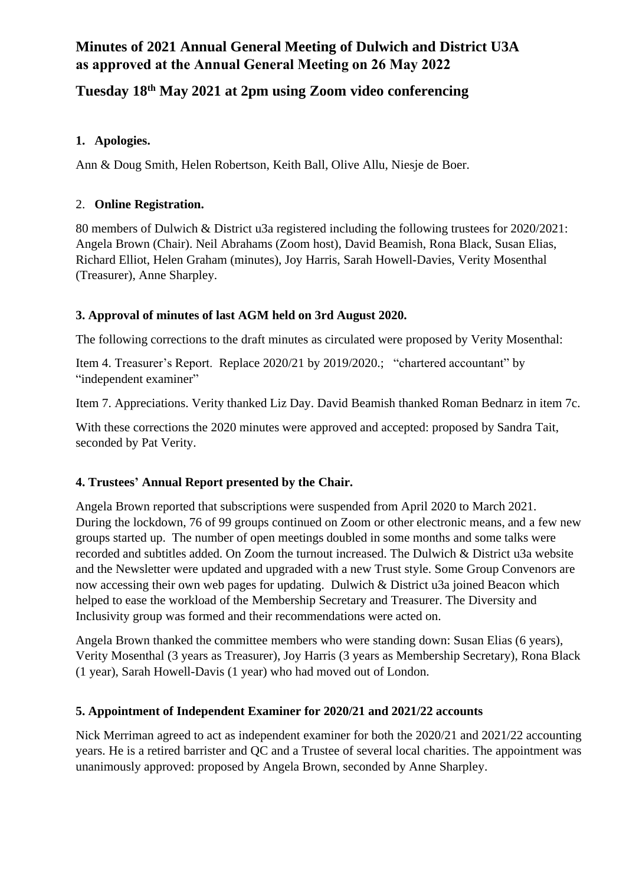## **Minutes of 2021 Annual General Meeting of Dulwich and District U3A as approved at the Annual General Meeting on 26 May 2022**

# **Tuesday 18th May 2021 at 2pm using Zoom video conferencing**

## **1. Apologies.**

Ann & Doug Smith, Helen Robertson, Keith Ball, Olive Allu, Niesje de Boer.

## 2. **Online Registration.**

80 members of Dulwich & District u3a registered including the following trustees for 2020/2021: Angela Brown (Chair). Neil Abrahams (Zoom host), David Beamish, Rona Black, Susan Elias, Richard Elliot, Helen Graham (minutes), Joy Harris, Sarah Howell-Davies, Verity Mosenthal (Treasurer), Anne Sharpley.

## **3. Approval of minutes of last AGM held on 3rd August 2020.**

The following corrections to the draft minutes as circulated were proposed by Verity Mosenthal:

Item 4. Treasurer's Report. Replace 2020/21 by 2019/2020.; "chartered accountant" by "independent examiner"

Item 7. Appreciations. Verity thanked Liz Day. David Beamish thanked Roman Bednarz in item 7c.

With these corrections the 2020 minutes were approved and accepted: proposed by Sandra Tait, seconded by Pat Verity.

#### **4. Trustees' Annual Report presented by the Chair.**

Angela Brown reported that subscriptions were suspended from April 2020 to March 2021. During the lockdown, 76 of 99 groups continued on Zoom or other electronic means, and a few new groups started up. The number of open meetings doubled in some months and some talks were recorded and subtitles added. On Zoom the turnout increased. The Dulwich & District u3a website and the Newsletter were updated and upgraded with a new Trust style. Some Group Convenors are now accessing their own web pages for updating. Dulwich & District u3a joined Beacon which helped to ease the workload of the Membership Secretary and Treasurer. The Diversity and Inclusivity group was formed and their recommendations were acted on.

Angela Brown thanked the committee members who were standing down: Susan Elias (6 years), Verity Mosenthal (3 years as Treasurer), Joy Harris (3 years as Membership Secretary), Rona Black (1 year), Sarah Howell-Davis (1 year) who had moved out of London.

#### **5. Appointment of Independent Examiner for 2020/21 and 2021/22 accounts**

Nick Merriman agreed to act as independent examiner for both the 2020/21 and 2021/22 accounting years. He is a retired barrister and QC and a Trustee of several local charities. The appointment was unanimously approved: proposed by Angela Brown, seconded by Anne Sharpley.